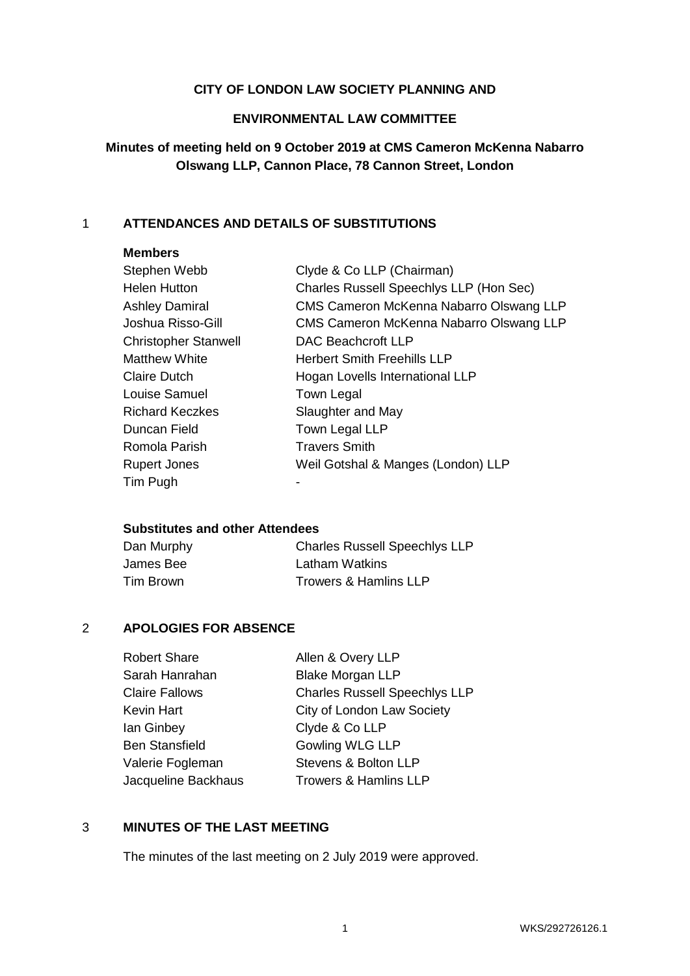## **CITY OF LONDON LAW SOCIETY PLANNING AND**

#### **ENVIRONMENTAL LAW COMMITTEE**

# **Minutes of meeting held on 9 October 2019 at CMS Cameron McKenna Nabarro Olswang LLP, Cannon Place, 78 Cannon Street, London**

# 1 **ATTENDANCES AND DETAILS OF SUBSTITUTIONS**

## **Members**

| Stephen Webb                | Clyde & Co LLP (Chairman)               |
|-----------------------------|-----------------------------------------|
| <b>Helen Hutton</b>         | Charles Russell Speechlys LLP (Hon Sec) |
| Ashley Damiral              | CMS Cameron McKenna Nabarro Olswang LLP |
| Joshua Risso-Gill           | CMS Cameron McKenna Nabarro Olswang LLP |
| <b>Christopher Stanwell</b> | <b>DAC Beachcroft LLP</b>               |
| Matthew White               | <b>Herbert Smith Freehills LLP</b>      |
| <b>Claire Dutch</b>         | Hogan Lovells International LLP         |
| Louise Samuel               | <b>Town Legal</b>                       |
| <b>Richard Keczkes</b>      | Slaughter and May                       |
| Duncan Field                | Town Legal LLP                          |
| Romola Parish               | <b>Travers Smith</b>                    |
| <b>Rupert Jones</b>         | Weil Gotshal & Manges (London) LLP      |
| Tim Pugh                    |                                         |
|                             |                                         |

# **Substitutes and other Attendees**

| Dan Murphy | <b>Charles Russell Speechlys LLP</b> |
|------------|--------------------------------------|
| James Bee  | Latham Watkins                       |
| Tim Brown  | <b>Trowers &amp; Hamlins LLP</b>     |

## 2 **APOLOGIES FOR ABSENCE**

| Allen & Overy LLP                    |
|--------------------------------------|
| <b>Blake Morgan LLP</b>              |
| <b>Charles Russell Speechlys LLP</b> |
| City of London Law Society           |
| Clyde & Co LLP                       |
| <b>Gowling WLG LLP</b>               |
| Stevens & Bolton LLP                 |
| <b>Trowers &amp; Hamlins LLP</b>     |
|                                      |

## 3 **MINUTES OF THE LAST MEETING**

The minutes of the last meeting on 2 July 2019 were approved.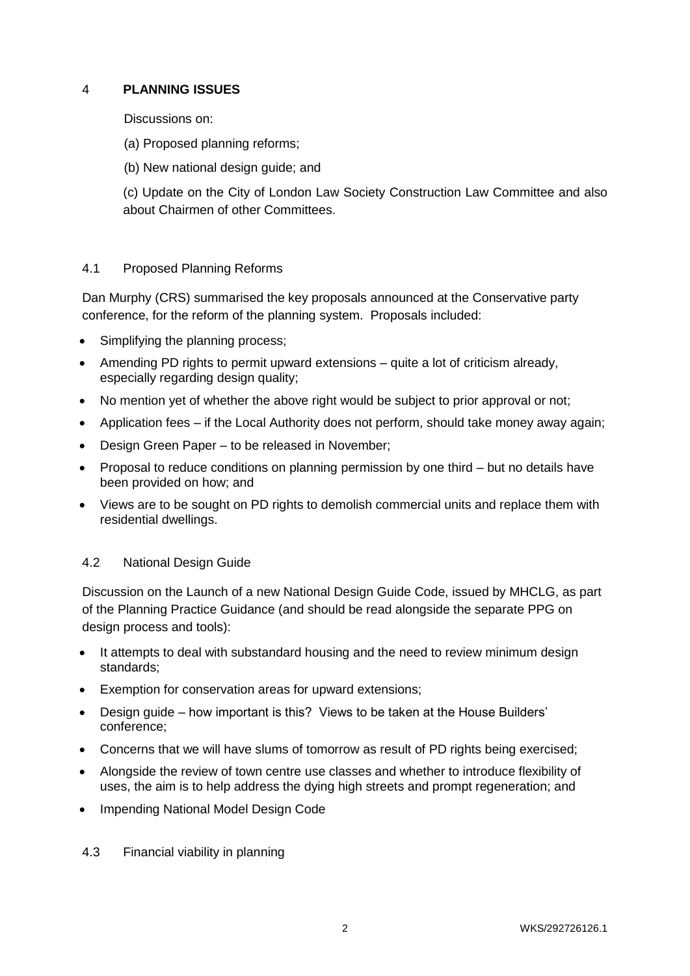# 4 **PLANNING ISSUES**

Discussions on:

- (a) Proposed planning reforms;
- (b) New national design guide; and

(c) Update on the City of London Law Society Construction Law Committee and also about Chairmen of other Committees.

## 4.1 Proposed Planning Reforms

Dan Murphy (CRS) summarised the key proposals announced at the Conservative party conference, for the reform of the planning system. Proposals included:

- Simplifying the planning process;
- Amending PD rights to permit upward extensions quite a lot of criticism already, especially regarding design quality;
- No mention yet of whether the above right would be subject to prior approval or not;
- Application fees if the Local Authority does not perform, should take money away again;
- Design Green Paper to be released in November;
- Proposal to reduce conditions on planning permission by one third but no details have been provided on how; and
- Views are to be sought on PD rights to demolish commercial units and replace them with residential dwellings.

## 4.2 National Design Guide

Discussion on the Launch of a new National Design Guide Code, issued by MHCLG, as part of the Planning Practice Guidance (and should be read alongside the separate PPG on design process and tools):

- It attempts to deal with substandard housing and the need to review minimum design standards;
- Exemption for conservation areas for upward extensions;
- Design guide how important is this? Views to be taken at the House Builders' conference;
- Concerns that we will have slums of tomorrow as result of PD rights being exercised;
- Alongside the review of town centre use classes and whether to introduce flexibility of uses, the aim is to help address the dying high streets and prompt regeneration; and
- Impending National Model Design Code
- 4.3 Financial viability in planning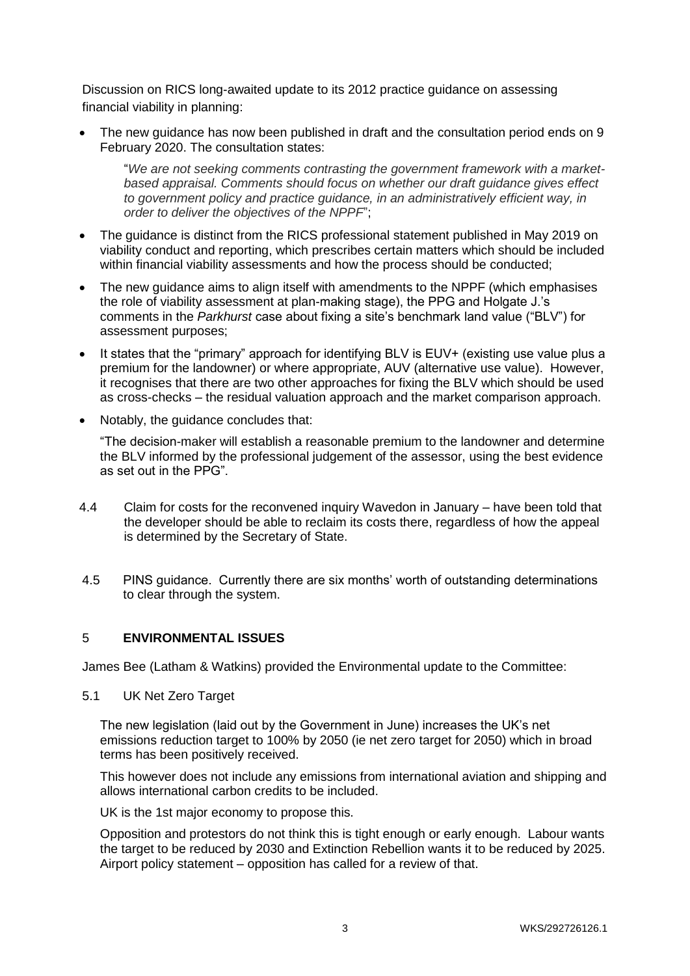Discussion on RICS long-awaited update to its 2012 practice guidance on assessing financial viability in planning:

 The new guidance has now been published in draft and the consultation period ends on 9 February 2020. The consultation states:

"*We are not seeking comments contrasting the government framework with a marketbased appraisal. Comments should focus on whether our draft guidance gives effect to government policy and practice guidance, in an administratively efficient way, in order to deliver the objectives of the NPPF*";

- The guidance is distinct from the RICS professional statement published in May 2019 on viability conduct and reporting, which prescribes certain matters which should be included within financial viability assessments and how the process should be conducted;
- The new guidance aims to align itself with amendments to the NPPF (which emphasises the role of viability assessment at plan-making stage), the PPG and Holgate J.'s comments in the *Parkhurst* case about fixing a site's benchmark land value ("BLV") for assessment purposes;
- It states that the "primary" approach for identifying BLV is EUV+ (existing use value plus a premium for the landowner) or where appropriate, AUV (alternative use value). However, it recognises that there are two other approaches for fixing the BLV which should be used as cross-checks – the residual valuation approach and the market comparison approach.
- Notably, the guidance concludes that:

"The decision-maker will establish a reasonable premium to the landowner and determine the BLV informed by the professional judgement of the assessor, using the best evidence as set out in the PPG".

- 4.4 Claim for costs for the reconvened inquiry Wavedon in January have been told that the developer should be able to reclaim its costs there, regardless of how the appeal is determined by the Secretary of State.
- 4.5 PINS guidance. Currently there are six months' worth of outstanding determinations to clear through the system.

## 5 **ENVIRONMENTAL ISSUES**

James Bee (Latham & Watkins) provided the Environmental update to the Committee:

5.1 UK Net Zero Target

The new legislation (laid out by the Government in June) increases the UK's net emissions reduction target to 100% by 2050 (ie net zero target for 2050) which in broad terms has been positively received.

This however does not include any emissions from international aviation and shipping and allows international carbon credits to be included.

UK is the 1st major economy to propose this.

Opposition and protestors do not think this is tight enough or early enough. Labour wants the target to be reduced by 2030 and Extinction Rebellion wants it to be reduced by 2025. Airport policy statement – opposition has called for a review of that.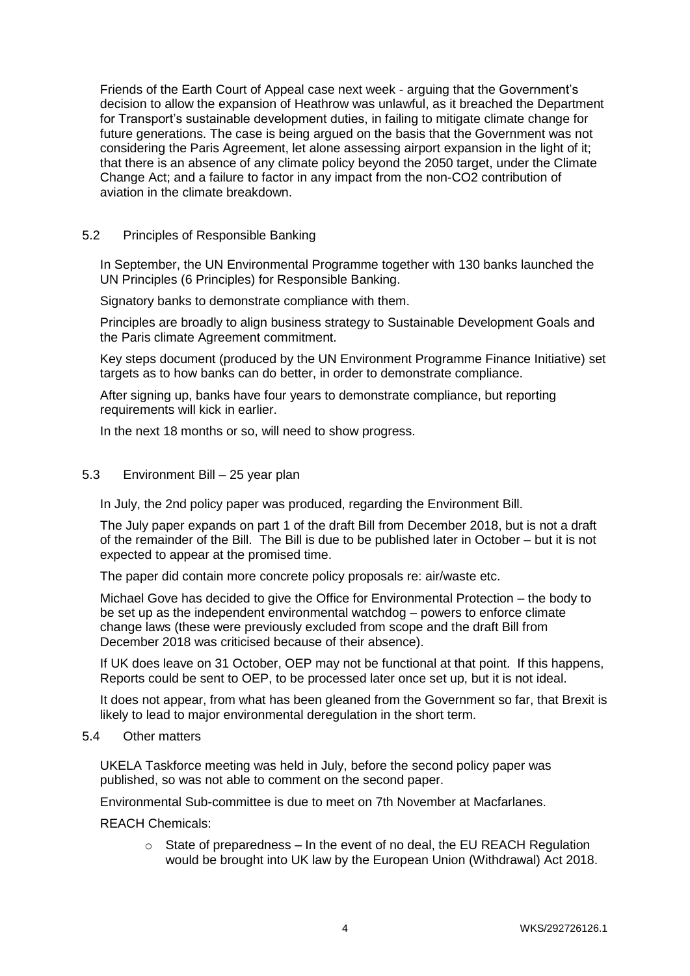Friends of the Earth Court of Appeal case next week - arguing that the Government's decision to allow the expansion of Heathrow was unlawful, as it breached the Department for Transport's sustainable development duties, in failing to mitigate climate change for future generations. The case is being argued on the basis that the Government was not considering the Paris Agreement, let alone assessing airport expansion in the light of it; that there is an absence of any climate policy beyond the 2050 target, under the Climate Change Act; and a failure to factor in any impact from the non-CO2 contribution of aviation in the climate breakdown.

#### 5.2 Principles of Responsible Banking

In September, the UN Environmental Programme together with 130 banks launched the UN Principles (6 Principles) for Responsible Banking.

Signatory banks to demonstrate compliance with them.

Principles are broadly to align business strategy to Sustainable Development Goals and the Paris climate Agreement commitment.

Key steps document (produced by the UN Environment Programme Finance Initiative) set targets as to how banks can do better, in order to demonstrate compliance.

After signing up, banks have four years to demonstrate compliance, but reporting requirements will kick in earlier.

In the next 18 months or so, will need to show progress.

#### 5.3 Environment Bill – 25 year plan

In July, the 2nd policy paper was produced, regarding the Environment Bill.

The July paper expands on part 1 of the draft Bill from December 2018, but is not a draft of the remainder of the Bill. The Bill is due to be published later in October – but it is not expected to appear at the promised time.

The paper did contain more concrete policy proposals re: air/waste etc.

Michael Gove has decided to give the Office for Environmental Protection – the body to be set up as the independent environmental watchdog – powers to enforce climate change laws (these were previously excluded from scope and the draft Bill from December 2018 was criticised because of their absence).

If UK does leave on 31 October, OEP may not be functional at that point. If this happens, Reports could be sent to OEP, to be processed later once set up, but it is not ideal.

It does not appear, from what has been gleaned from the Government so far, that Brexit is likely to lead to major environmental deregulation in the short term.

#### 5.4 Other matters

UKELA Taskforce meeting was held in July, before the second policy paper was published, so was not able to comment on the second paper.

Environmental Sub-committee is due to meet on 7th November at Macfarlanes.

REACH Chemicals:

 $\circ$  State of preparedness – In the event of no deal, the EU REACH Regulation would be brought into UK law by the European Union (Withdrawal) Act 2018.